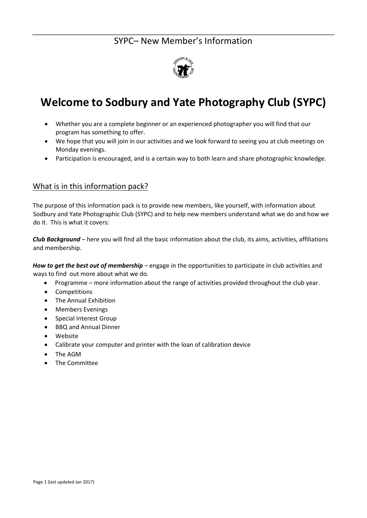

# **Welcome to Sodbury and Yate Photography Club (SYPC)**

- Whether you are a complete beginner or an experienced photographer you will find that our program has something to offer.
- We hope that you will join in our activities and we look forward to seeing you at club meetings on Monday evenings.
- Participation is encouraged, and is a certain way to both learn and share photographic knowledge.

### What is in this information pack?

The purpose of this information pack is to provide new members, like yourself, with information about Sodbury and Yate Photographic Club (SYPC) and to help new members understand what we do and how we do it. This is what it covers:

*Club Background* – here you will find all the basic information about the club, its aims, activities, affiliations and membership.

*How to get the best out of membership* – engage in the opportunities to participate in club activities and ways to find out more about what we do.

- Programme more information about the range of activities provided throughout the club year.
- Competitions
- The Annual Exhibition
- Members Evenings
- Special Interest Group
- BBQ and Annual Dinner
- Website
- Calibrate your computer and printer with the loan of calibration device
- The AGM
- The Committee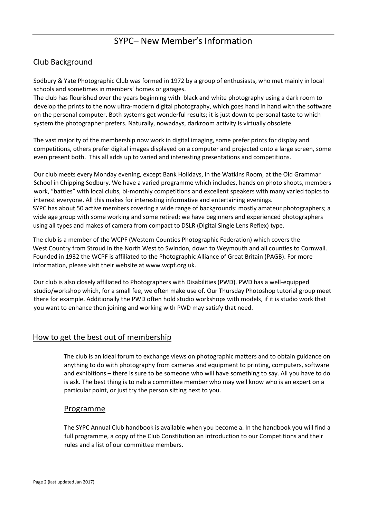### Club Background

Sodbury & Yate Photographic Club was formed in 1972 by a group of enthusiasts, who met mainly in local schools and sometimes in members' homes or garages.

The club has flourished over the years beginning with black and white photography using a dark room to develop the prints to the now ultra-modern digital photography, which goes hand in hand with the software on the personal computer. Both systems get wonderful results; it is just down to personal taste to which system the photographer prefers. Naturally, nowadays, darkroom activity is virtually obsolete.

The vast majority of the membership now work in digital imaging, some prefer prints for display and competitions, others prefer digital images displayed on a computer and projected onto a large screen, some even present both. This all adds up to varied and interesting presentations and competitions.

Our club meets every Monday evening, except Bank Holidays, in the Watkins Room, at the Old Grammar School in Chipping Sodbury. We have a varied programme which includes, hands on photo shoots, members work, "battles" with local clubs, bi-monthly competitions and excellent speakers with many varied topics to interest everyone. All this makes for interesting informative and entertaining evenings. SYPC has about 50 active members covering a wide range of backgrounds: mostly amateur photographers; a wide age group with some working and some retired; we have beginners and experienced photographers using all types and makes of camera from compact to DSLR (Digital Single Lens Reflex) type.

The club is a member of the WCPF (Western Counties Photographic Federation) which covers the West Country from Stroud in the North West to Swindon, down to Weymouth and all counties to Cornwall. Founded in 1932 the WCPF is affiliated to the Photographic Alliance of Great Britain (PAGB). For more information, please visit their website at [www.wcpf.org.uk.](http://www.wcpf.org.uk/)

Our club is also closely affiliated to Photographers with Disabilities (PWD). PWD has a well-equipped studio/workshop which, for a small fee, we often make use of. Our Thursday Photoshop tutorial group meet there for example. Additionally the PWD often hold studio workshops with models, if it is studio work that you want to enhance then joining and working with PWD may satisfy that need.

### How to get the best out of membership

The club is an ideal forum to exchange views on photographic matters and to obtain guidance on anything to do with photography from cameras and equipment to printing, computers, software and exhibitions – there is sure to be someone who will have something to say. All you have to do is ask. The best thing is to nab a committee member who may well know who is an expert on a particular point, or just try the person sitting next to you.

### Programme

The SYPC Annual Club handbook is available when you become a. In the handbook you will find a full programme, a copy of the Club Constitution an introduction to our Competitions and their rules and a list of our committee members.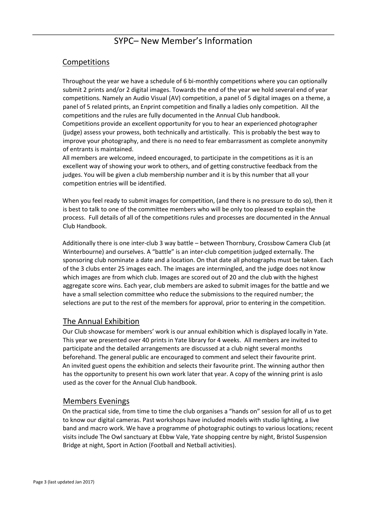### Competitions

Throughout the year we have a schedule of 6 bi-monthly competitions where you can optionally submit 2 prints and/or 2 digital images. Towards the end of the year we hold several end of year competitions. Namely an Audio Visual (AV) competition, a panel of 5 digital images on a theme, a panel of 5 related prints, an Enprint competition and finally a ladies only competition. All the competitions and the rules are fully documented in the Annual Club handbook. Competitions provide an excellent opportunity for you to hear an experienced photographer (judge) assess your prowess, both technically and artistically. This is probably the best way to improve your photography, and there is no need to fear embarrassment as complete anonymity of entrants is maintained.

All members are welcome, indeed encouraged, to participate in the competitions as it is an excellent way of showing your work to others, and of getting constructive feedback from the judges. You will be given a club membership number and it is by this number that all your competition entries will be identified.

When you feel ready to submit images for competition, (and there is no pressure to do so), then it is best to talk to one of the committee members who will be only too pleased to explain the process. Full details of all of the competitions rules and processes are documented in the Annual Club Handbook.

Additionally there is one inter-club 3 way battle – between Thornbury, Crossbow Camera Club (at Winterbourne) and ourselves. A "battle" is an inter-club competition judged externally. The sponsoring club nominate a date and a location. On that date all photographs must be taken. Each of the 3 clubs enter 25 images each. The images are intermingled, and the judge does not know which images are from which club. Images are scored out of 20 and the club with the highest aggregate score wins. Each year, club members are asked to submit images for the battle and we have a small selection committee who reduce the submissions to the required number; the selections are put to the rest of the members for approval, prior to entering in the competition.

### The Annual Exhibition

Our Club showcase for members' work is our annual exhibition which is displayed locally in Yate. This year we presented over 40 prints in Yate library for 4 weeks. All members are invited to participate and the detailed arrangements are discussed at a club night several months beforehand. The general public are encouraged to comment and select their favourite print. An invited guest opens the exhibition and selects their favourite print. The winning author then has the opportunity to present his own work later that year. A copy of the winning print is aslo used as the cover for the Annual Club handbook.

### Members Evenings

On the practical side, from time to time the club organises a "hands on" session for all of us to get to know our digital cameras. Past workshops have included models with studio lighting, a live band and macro work. We have a programme of photographic outings to various locations; recent visits include The Owl sanctuary at Ebbw Vale, Yate shopping centre by night, Bristol Suspension Bridge at night, Sport in Action (Football and Netball activities).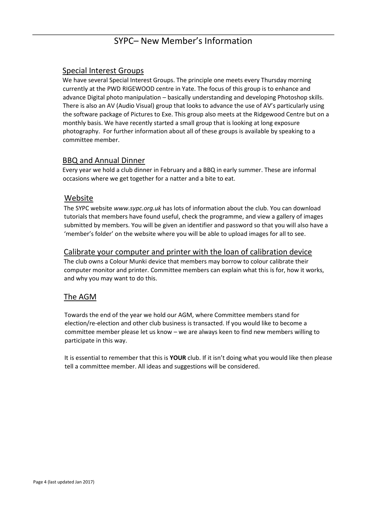### Special Interest Groups

We have several Special Interest Groups. The principle one meets every Thursday morning currently at the PWD RIGEWOOD centre in Yate. The focus of this group is to enhance and advance Digital photo manipulation – basically understanding and developing Photoshop skills. There is also an AV (Audio Visual) group that looks to advance the use of AV's particularly using the software package of Pictures to Exe. This group also meets at the Ridgewood Centre but on a monthly basis. We have recently started a small group that is looking at long exposure photography. For further information about all of these groups is available by speaking to a committee member.

### BBQ and Annual Dinner

Every year we hold a club dinner in February and a BBQ in early summer. These are informal occasions where we get together for a natter and a bite to eat.

#### Website

The SYPC website *www.sypc.org.uk* has lots of information about the club. You can download tutorials that members have found useful, check the programme, and view a gallery of images submitted by members. You will be given an identifier and password so that you will also have a 'member's folder' on the website where you will be able to upload images for all to see.

#### Calibrate your computer and printer with the loan of calibration device

The club owns a Colour Munki device that members may borrow to colour calibrate their computer monitor and printer. Committee members can explain what this is for, how it works, and why you may want to do this.

### The AGM

Towards the end of the year we hold our AGM, where Committee members stand for election/re-election and other club business is transacted. If you would like to become a committee member please let us know – we are always keen to find new members willing to participate in this way.

It is essential to remember that this is **YOUR** club. If it isn't doing what you would like then please tell a committee member. All ideas and suggestions will be considered.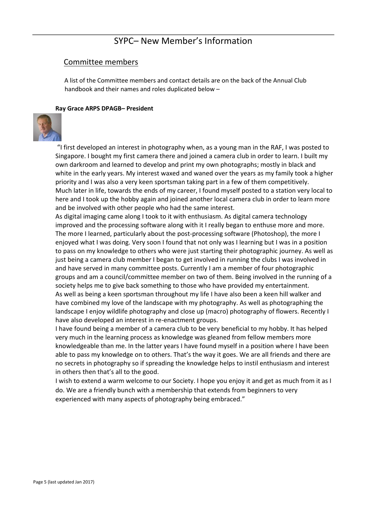#### Committee members

A list of the Committee members and contact details are on the back of the Annual Club handbook and their names and roles duplicated below –

#### **Ray Grace ARPS DPAGB– President**



"I first developed an interest in photography when, as a young man in the RAF, I was posted to Singapore. I bought my first camera there and joined a camera club in order to learn. I built my own darkroom and learned to develop and print my own photographs; mostly in black and white in the early years. My interest waxed and waned over the years as my family took a higher priority and I was also a very keen sportsman taking part in a few of them competitively. Much later in life, towards the ends of my career, I found myself posted to a station very local to here and I took up the hobby again and joined another local camera club in order to learn more and be involved with other people who had the same interest.

As digital imaging came along I took to it with enthusiasm. As digital camera technology improved and the processing software along with it I really began to enthuse more and more. The more I learned, particularly about the post-processing software (Photoshop), the more I enjoyed what I was doing. Very soon I found that not only was I learning but I was in a position to pass on my knowledge to others who were just starting their photographic journey. As well as just being a camera club member I began to get involved in running the clubs I was involved in and have served in many committee posts. Currently I am a member of four photographic groups and am a council/committee member on two of them. Being involved in the running of a society helps me to give back something to those who have provided my entertainment. As well as being a keen sportsman throughout my life I have also been a keen hill walker and have combined my love of the landscape with my photography. As well as photographing the landscape I enjoy wildlife photography and close up (macro) photography of flowers. Recently I have also developed an interest in re-enactment groups.

I have found being a member of a camera club to be very beneficial to my hobby. It has helped very much in the learning process as knowledge was gleaned from fellow members more knowledgeable than me. In the latter years I have found myself in a position where I have been able to pass my knowledge on to others. That's the way it goes. We are all friends and there are no secrets in photography so if spreading the knowledge helps to instil enthusiasm and interest in others then that's all to the good.

I wish to extend a warm welcome to our Society. I hope you enjoy it and get as much from it as I do. We are a friendly bunch with a membership that extends from beginners to very experienced with many aspects of photography being embraced."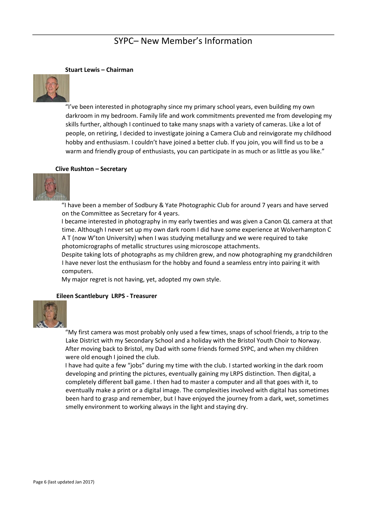#### **Stuart Lewis – Chairman**



"I've been interested in photography since my primary school years, even building my own darkroom in my bedroom. Family life and work commitments prevented me from developing my skills further, although I continued to take many snaps with a variety of cameras. Like a lot of people, on retiring, I decided to investigate joining a Camera Club and reinvigorate my childhood hobby and enthusiasm. I couldn't have joined a better club. If you join, you will find us to be a warm and friendly group of enthusiasts, you can participate in as much or as little as you like."

#### **Clive Rushton – Secretary**



"I have been a member of Sodbury & Yate Photographic Club for around 7 years and have served on the Committee as Secretary for 4 years.

I became interested in photography in my early twenties and was given a Canon QL camera at that time. Although I never set up my own dark room I did have some experience at Wolverhampton C A T (now W'ton University) when I was studying metallurgy and we were required to take photomicrographs of metallic structures using microscope attachments.

Despite taking lots of photographs as my children grew, and now photographing my grandchildren I have never lost the enthusiasm for the hobby and found a seamless entry into pairing it with computers.

My major regret is not having, yet, adopted my own style.

#### **Eileen Scantlebury LRPS - Treasurer**



"My first camera was most probably only used a few times, snaps of school friends, a trip to the Lake District with my Secondary School and a holiday with the Bristol Youth Choir to Norway. After moving back to Bristol, my Dad with some friends formed SYPC, and when my children were old enough I joined the club.

I have had quite a few "jobs" during my time with the club. I started working in the dark room developing and printing the pictures, eventually gaining my LRPS distinction. Then digital, a completely different ball game. I then had to master a computer and all that goes with it, to eventually make a print or a digital image. The complexities involved with digital has sometimes been hard to grasp and remember, but I have enjoyed the journey from a dark, wet, sometimes smelly environment to working always in the light and staying dry.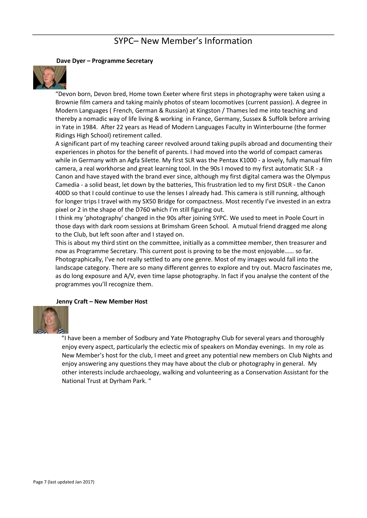#### **Dave Dyer – Programme Secretary**



"Devon born, Devon bred, Home town Exeter where first steps in photography were taken using a Brownie film camera and taking mainly photos of steam locomotives (current passion). A degree in Modern Languages ( French, German & Russian) at Kingston / Thames led me into teaching and thereby a nomadic way of life living & working in France, Germany, Sussex & Suffolk before arriving in Yate in 1984. After 22 years as Head of Modern Languages Faculty in Winterbourne (the former Ridings High School) retirement called.

A significant part of my teaching career revolved around taking pupils abroad and documenting their experiences in photos for the benefit of parents. I had moved into the world of compact cameras while in Germany with an Agfa Silette. My first SLR was the Pentax K1000 - a lovely, fully manual film camera, a real workhorse and great learning tool. In the 90s I moved to my first automatic SLR - a Canon and have stayed with the brand ever since, although my first digital camera was the Olympus Camedia - a solid beast, let down by the batteries, This frustration led to my first DSLR - the Canon 400D so that I could continue to use the lenses I already had. This camera is still running, although for longer trips I travel with my SX50 Bridge for compactness. Most recently I've invested in an extra pixel or 2 in the shape of the D760 which I'm still figuring out.

I think my 'photography' changed in the 90s after joining SYPC. We used to meet in Poole Court in those days with dark room sessions at Brimsham Green School. A mutual friend dragged me along to the Club, but left soon after and I stayed on.

This is about my third stint on the committee, initially as a committee member, then treasurer and now as Programme Secretary. This current post is proving to be the most enjoyable…… so far. Photographically, I've not really settled to any one genre. Most of my images would fall into the landscape category. There are so many different genres to explore and try out. Macro fascinates me, as do long exposure and A/V, even time lapse photography. In fact if you analyse the content of the programmes you'll recognize them.

#### **Jenny Craft – New Member Host**



"I have been a member of Sodbury and Yate Photography Club for several years and thoroughly enjoy every aspect, particularly the eclectic mix of speakers on Monday evenings. In my role as New Member's host for the club, I meet and greet any potential new members on Club Nights and enjoy answering any questions they may have about the club or photography in general. My other interests include archaeology, walking and volunteering as a Conservation Assistant for the National Trust at Dyrham Park. "